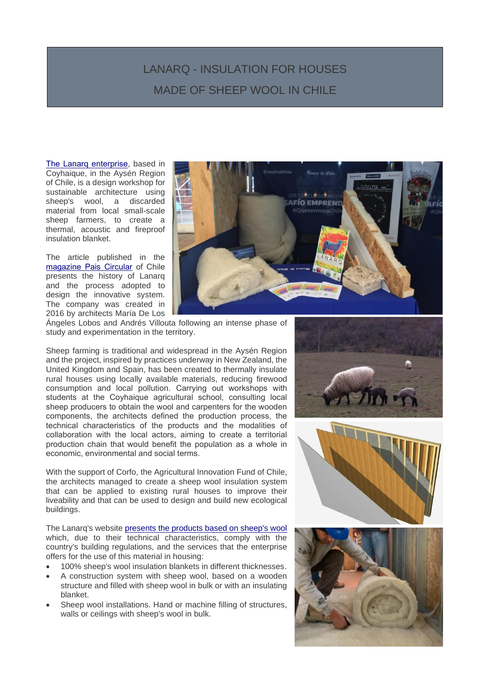## LANARQ - INSULATION FOR HOUSES MADE OF SHEEP WOOL IN CHILE

HECHO A PARTIR DE LANAS DE OVEJA EN CHILE

[The Lanarq enterprise,](https://www.lanarq.com/) based in Coyhaique, in the Aysén Region of Chile, is a design workshop for sustainable architecture using sheep's wool, a discarded material from local small-scale sheep farmers, to create a thermal, acoustic and fireproof insulation blanket.

i<br>I

The article published in the [magazine Pais Circular](https://www.paiscircular.cl/consumo-y-produccion/lanarq-aislante-de-viviendas-hecho-a-partir-de-lana-de-ovejas-impulsa-la-economia-circular-y-el-desarrollo-local-en-aysen/) of Chile presents the history of Lanarq and the process adopted to design the innovative system. The company was created in 2016 by architects María De Los



Ángeles Lobos and Andrés Villouta following an intense phase of study and experimentation in the territory.

Sheep farming is traditional and widespread in the Aysén Region and the project, inspired by practices underway in New Zealand, the United Kingdom and Spain, has been created to thermally insulate rural houses using locally available materials, reducing firewood consumption and local pollution. Carrying out workshops with students at the Coyhaique agricultural school, consulting local sheep producers to obtain the wool and carpenters for the wooden components, the architects defined the production process, the technical characteristics of the products and the modalities of collaboration with the local actors, aiming to create a territorial production chain that would benefit the population as a whole in economic, environmental and social terms.

With the support of Corfo, the Agricultural Innovation Fund of Chile, the architects managed to create a sheep wool insulation system that can be applied to existing rural houses to improve their liveability and that can be used to design and build new ecological buildings.

The Lanarq's website [presents the products based on sheep's wool](https://www.lanarq.com/425710032) which, due to their technical characteristics, comply with the country's building regulations, and the services that the enterprise offers for the use of this material in housing:

- 100% sheep's wool insulation blankets in different thicknesses.
- A construction system with sheep wool, based on a wooden structure and filled with sheep wool in bulk or with an insulating blanket.
- Sheep wool installations. Hand or machine filling of structures, walls or ceilings with sheep's wool in bulk.





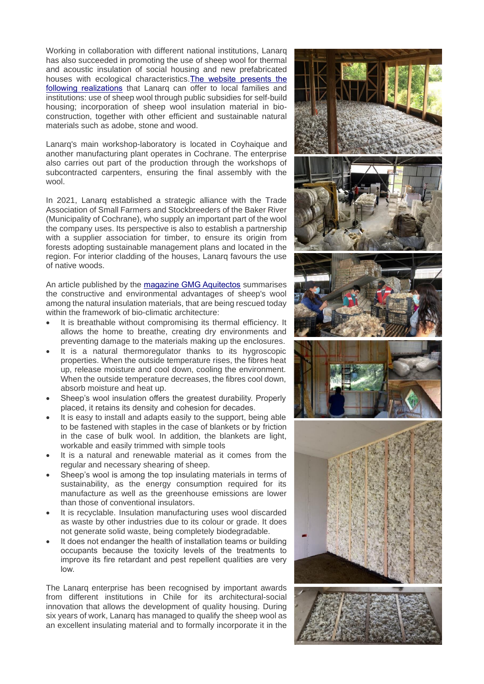Working in collaboration with different national institutions, Lanarq has also succeeded in promoting the use of sheep wool for thermal and acoustic insulation of social housing and new prefabricated houses with ecological characteristics[.The website presents the](https://www.lanarq.com/425643997)  [following realizations](https://www.lanarq.com/425643997) that Lanarq can offer to local families and institutions: use of sheep wool through public subsidies for self-build housing; incorporation of sheep wool insulation material in bioconstruction, together with other efficient and sustainable natural materials such as adobe, stone and wood.

Lanarq's main workshop-laboratory is located in Coyhaique and another manufacturing plant operates in Cochrane. The enterprise also carries out part of the production through the workshops of subcontracted carpenters, ensuring the final assembly with the wool.

In 2021, Lanarq established a strategic alliance with the Trade Association of Small Farmers and Stockbreeders of the Baker River (Municipality of Cochrane), who supply an important part of the wool the company uses. Its perspective is also to establish a partnership with a supplier association for timber, to ensure its origin from forests adopting sustainable management plans and located in the region. For interior cladding of the houses, Lanarq favours the use of native woods.

An article published by the [magazine GMG Aquitectos](https://ecoesmas.com/aislamientos-naturales-lana-de-oveja/) summarises the constructive and environmental advantages of sheep's wool among the natural insulation materials, that are being rescued today within the framework of bio-climatic architecture:

- It is breathable without compromising its thermal efficiency. It allows the home to breathe, creating dry environments and preventing damage to the materials making up the enclosures.
- It is a natural thermoregulator thanks to its hygroscopic properties. When the outside temperature rises, the fibres heat up, release moisture and cool down, cooling the environment. When the outside temperature decreases, the fibres cool down, absorb moisture and heat up.
- Sheep's wool insulation offers the greatest durability. Properly placed, it retains its density and cohesion for decades.
- It is easy to install and adapts easily to the support, being able to be fastened with staples in the case of blankets or by friction in the case of bulk wool. In addition, the blankets are light, workable and easily trimmed with simple tools
- It is a natural and renewable material as it comes from the regular and necessary shearing of sheep.
- Sheep's wool is among the top insulating materials in terms of sustainability, as the energy consumption required for its manufacture as well as the greenhouse emissions are lower than those of conventional insulators.
- It is recyclable. Insulation manufacturing uses wool discarded as waste by other industries due to its colour or grade. It does not generate solid waste, being completely biodegradable.
- It does not endanger the health of installation teams or building occupants because the toxicity levels of the treatments to improve its fire retardant and pest repellent qualities are very low.

The Lanarq enterprise has been recognised by important awards from different institutions in Chile for its architectural-social innovation that allows the development of quality housing. During six years of work, Lanarq has managed to qualify the sheep wool as an excellent insulating material and to formally incorporate it in the